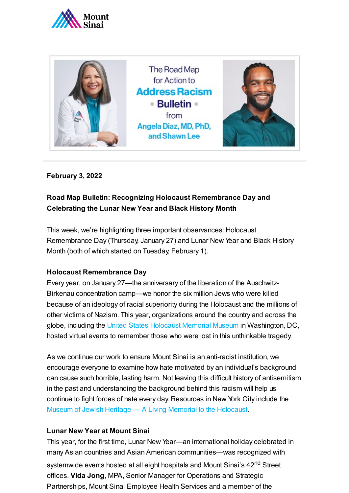



#### **February 3, 2022**

### **Road Map Bulletin: Recognizing Holocaust Remembrance Day and Celebrating the Lunar New Year and Black History Month**

This week, we're highlighting three important observances: Holocaust Remembrance Day (Thursday, January 27) and Lunar New Year and Black History Month (both of which started on Tuesday, February 1).

#### **Holocaust Remembrance Day**

Every year, on January 27—the anniversary of the liberation of the Auschwitz-Birkenau concentration camp—we honor the six million Jews who were killed because of an ideology of racial superiority during the Holocaust and the millions of other victims of Nazism. This year, organizations around the country and across the globe, including the United [States Holocaust](https://www.ushmm.org/watch/ihrd-2022) Memorial Museum in Washington, DC, hosted virtual events to remember those who were lost in this unthinkable tragedy.

As we continue our work to ensure Mount Sinai is an anti-racist institution, we encourage everyone to examine how hate motivated by an individual's background can cause such horrible, lasting harm. Not leaving this difficult history of antisemitism in the past and understanding the background behind this racism will help us continue to fight forces of hate every day. Resources in New York City include the Museum of Jewish Heritage — A Living Memorial to the [Holocaust](https://mjhnyc.org/).

#### **Lunar New Year at Mount Sinai**

This year, for the first time, Lunar New Year—an international holiday celebrated in many Asian countries and Asian American communities—was recognized with systemwide events hosted at all eight hospitals and Mount Sinai's 42<sup>nd</sup> Street offices. **Vida Jong**, MPA, Senior Manager for Operations and Strategic Partnerships, Mount Sinai Employee Health Services and a member of the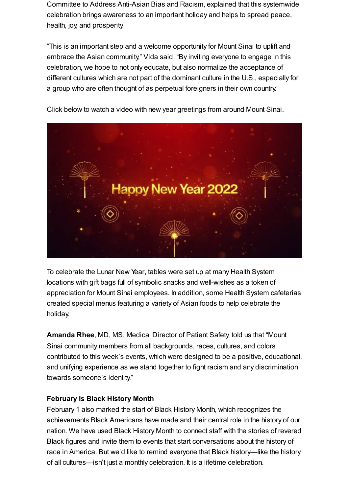Committee to Address Anti-Asian Bias and Racism, explained that this systemwide celebration brings awareness to an important holiday and helps to spread peace, health, joy, and prosperity.

"This is an important step and a welcome opportunity for Mount Sinai to uplift and embrace the Asian community," Vida said. "By inviting everyone to engage in this celebration, we hope to not only educate, but also normalize the acceptance of different cultures which are not part of the dominant culture in the U.S., especially for a group who are often thought of as perpetual foreigners in their own country."



Click below to watch a video with new year greetings from around Mount Sinai.

To celebrate the Lunar New Year, tables were set up at many Health System locations with gift bags full of symbolic snacks and well-wishes as a token of appreciation for Mount Sinai employees. In addition, some Health System cafeterias created special menus featuring a variety of Asian foods to help celebrate the holiday.

**Amanda Rhee**, MD, MS, Medical Director of Patient Safety, told us that "Mount Sinai community members from all backgrounds, races, cultures, and colors contributed to this week's events, which were designed to be a positive, educational, and unifying experience as we stand together to fight racism and any discrimination towards someone's identity."

#### **February Is Black History Month**

February 1 also marked the start of Black History Month, which recognizes the achievements Black Americans have made and their central role in the history of our nation. We have used Black History Month to connect staff with the stories of revered Black figures and invite them to events that start conversations about the history of race in America. But we'd like to remind everyone that Black history—like the history of all cultures—isn't just a monthly celebration. It is a lifetime celebration.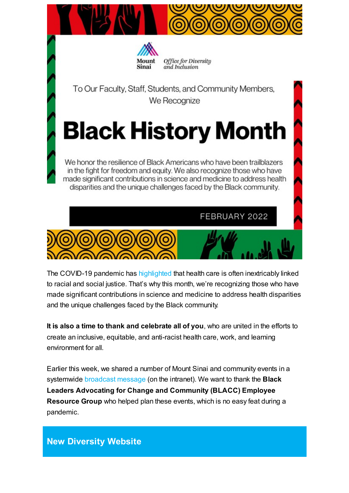



Office for Diversity and Inclusion

To Our Faculty, Staff, Students, and Community Members, We Recognize

# **Black History Month**

We honor the resilience of Black Americans who have been trailblazers in the fight for freedom and equity. We also recognize those who have made significant contributions in science and medicine to address health disparities and the unique challenges faced by the Black community.

FEBRUARY 2022



The COVID-19 pandemic has [highlighted](https://www.mountsinai.org/files/MSHealth/Assets/HS/About/Diversity/MSHS-Road-Map-Bulletin-COVID-19-Disparities.pdf) that health care is often inextricably linked to racial and social justice. That's why this month, we're recognizing those who have made significant contributions in science and medicine to address health disparities and the unique challenges faced by the Black community.

**It is also a time to thank and celebrate all of you**, who are united in the efforts to create an inclusive, equitable, and anti-racist health care, work, and learning environment for all.

Earlier this week, we shared a number of Mount Sinai and community events in a systemwide [broadcast](http://mshsintranet.mountsinai.org/MSHS/Details.aspx?FromPage=Health%20System%20News&CId=55554) message (on the intranet). We want to thank the **Black Leaders Advocating for Change and Community (BLACC) Employee Resource Group** who helped plan these events, which is no easy feat during a pandemic.

## **New Diversity Website**